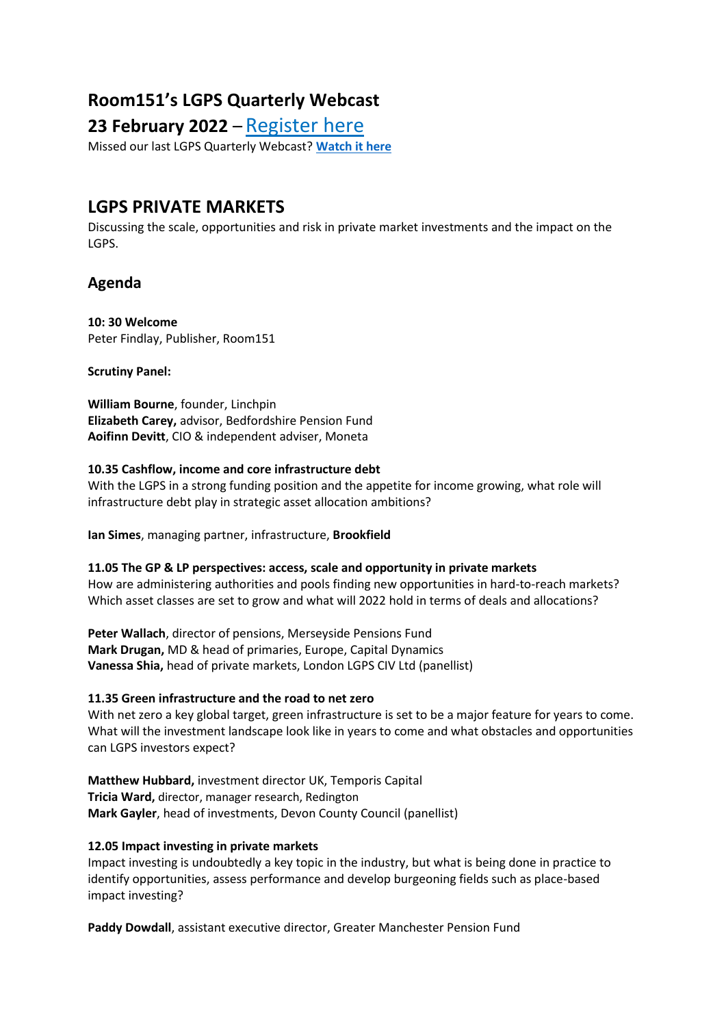# **Room151's LGPS Quarterly Webcast**

# **23 February 2022** – [Register here](https://register.gotowebinar.com/register/8143445329632147472)

Missed our last LGPS Quarterly Webcast? **[Watch it here](https://www.gotostage.com/channel/0fd5b742cc2045c5bdfac9bca654efa9/recording/1a9d86d18b9f48b1b264387685960a5c/watch?source=CHANNEL)**

# **LGPS PRIVATE MARKETS**

Discussing the scale, opportunities and risk in private market investments and the impact on the LGPS.

### **Agenda**

**10: 30 Welcome** Peter Findlay, Publisher, Room151

**Scrutiny Panel:**

**William Bourne**, founder, Linchpin **Elizabeth Carey,** advisor, Bedfordshire Pension Fund **Aoifinn Devitt**, CIO & independent adviser, Moneta

### **10.35 Cashflow, income and core infrastructure debt**

With the LGPS in a strong funding position and the appetite for income growing, what role will infrastructure debt play in strategic asset allocation ambitions?

**Ian Simes**, managing partner, infrastructure, **Brookfield**

**11.05 The GP & LP perspectives: access, scale and opportunity in private markets** How are administering authorities and pools finding new opportunities in hard-to-reach markets? Which asset classes are set to grow and what will 2022 hold in terms of deals and allocations?

**Peter Wallach**, director of pensions, Merseyside Pensions Fund **Mark Drugan,** MD & head of primaries, Europe, Capital Dynamics **Vanessa Shia,** head of private markets, London LGPS CIV Ltd (panellist)

### **11.35 Green infrastructure and the road to net zero**

With net zero a key global target, green infrastructure is set to be a major feature for years to come. What will the investment landscape look like in years to come and what obstacles and opportunities can LGPS investors expect?

**Matthew Hubbard,** investment director UK, Temporis Capital **Tricia Ward,** director, manager research, Redington **Mark Gayler**, head of investments, Devon County Council (panellist)

### **12.05 Impact investing in private markets**

Impact investing is undoubtedly a key topic in the industry, but what is being done in practice to identify opportunities, assess performance and develop burgeoning fields such as place-based impact investing?

**Paddy Dowdall**, assistant executive director, Greater Manchester Pension Fund